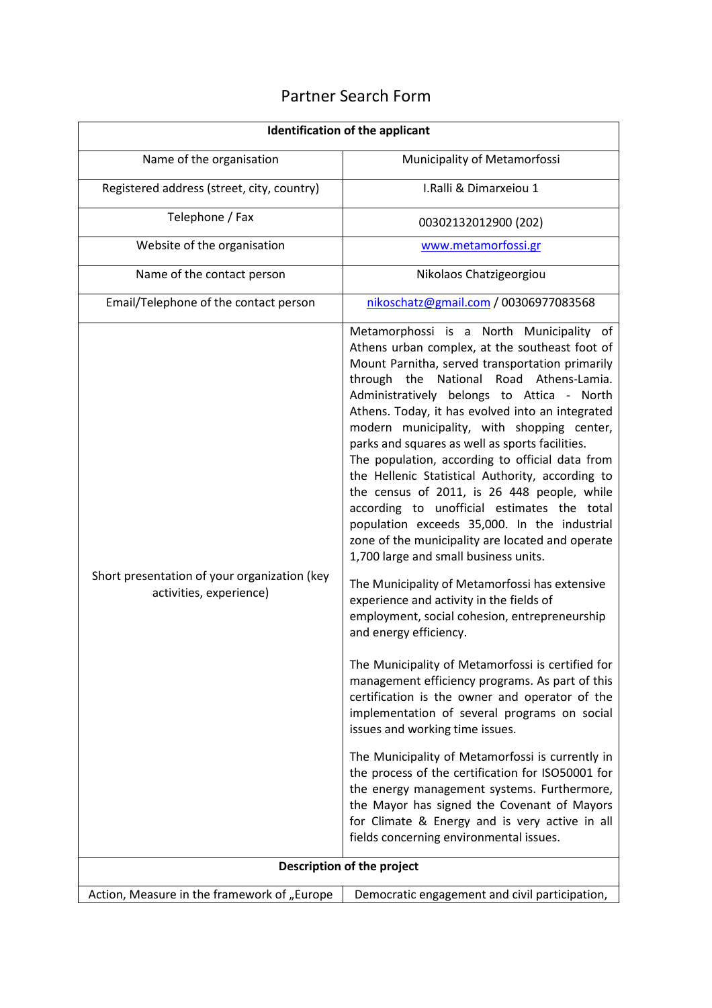## Partner Search Form

| <b>Identification of the applicant</b>                                  |                                                                                                                                                                                                                                                                                                                                                                                                                                                                                                                                                                                                                                                                                                                                                                                                                                                                                                                                                                                                                                                                                                                                                                                                                                                                                                                                                                                                                                                                               |
|-------------------------------------------------------------------------|-------------------------------------------------------------------------------------------------------------------------------------------------------------------------------------------------------------------------------------------------------------------------------------------------------------------------------------------------------------------------------------------------------------------------------------------------------------------------------------------------------------------------------------------------------------------------------------------------------------------------------------------------------------------------------------------------------------------------------------------------------------------------------------------------------------------------------------------------------------------------------------------------------------------------------------------------------------------------------------------------------------------------------------------------------------------------------------------------------------------------------------------------------------------------------------------------------------------------------------------------------------------------------------------------------------------------------------------------------------------------------------------------------------------------------------------------------------------------------|
| Name of the organisation                                                | Municipality of Metamorfossi                                                                                                                                                                                                                                                                                                                                                                                                                                                                                                                                                                                                                                                                                                                                                                                                                                                                                                                                                                                                                                                                                                                                                                                                                                                                                                                                                                                                                                                  |
| Registered address (street, city, country)                              | I.Ralli & Dimarxeiou 1                                                                                                                                                                                                                                                                                                                                                                                                                                                                                                                                                                                                                                                                                                                                                                                                                                                                                                                                                                                                                                                                                                                                                                                                                                                                                                                                                                                                                                                        |
| Telephone / Fax                                                         | 00302132012900 (202)                                                                                                                                                                                                                                                                                                                                                                                                                                                                                                                                                                                                                                                                                                                                                                                                                                                                                                                                                                                                                                                                                                                                                                                                                                                                                                                                                                                                                                                          |
| Website of the organisation                                             | www.metamorfossi.gr                                                                                                                                                                                                                                                                                                                                                                                                                                                                                                                                                                                                                                                                                                                                                                                                                                                                                                                                                                                                                                                                                                                                                                                                                                                                                                                                                                                                                                                           |
| Name of the contact person                                              | Nikolaos Chatzigeorgiou                                                                                                                                                                                                                                                                                                                                                                                                                                                                                                                                                                                                                                                                                                                                                                                                                                                                                                                                                                                                                                                                                                                                                                                                                                                                                                                                                                                                                                                       |
| Email/Telephone of the contact person                                   | nikoschatz@gmail.com / 00306977083568                                                                                                                                                                                                                                                                                                                                                                                                                                                                                                                                                                                                                                                                                                                                                                                                                                                                                                                                                                                                                                                                                                                                                                                                                                                                                                                                                                                                                                         |
| Short presentation of your organization (key<br>activities, experience) | Metamorphossi is a North Municipality of<br>Athens urban complex, at the southeast foot of<br>Mount Parnitha, served transportation primarily<br>National<br>Road Athens-Lamia.<br>through the<br>Administratively belongs to Attica - North<br>Athens. Today, it has evolved into an integrated<br>modern municipality, with shopping center,<br>parks and squares as well as sports facilities.<br>The population, according to official data from<br>the Hellenic Statistical Authority, according to<br>the census of 2011, is 26 448 people, while<br>according to unofficial estimates the total<br>population exceeds 35,000. In the industrial<br>zone of the municipality are located and operate<br>1,700 large and small business units.<br>The Municipality of Metamorfossi has extensive<br>experience and activity in the fields of<br>employment, social cohesion, entrepreneurship<br>and energy efficiency.<br>The Municipality of Metamorfossi is certified for<br>management efficiency programs. As part of this<br>certification is the owner and operator of the<br>implementation of several programs on social<br>issues and working time issues.<br>The Municipality of Metamorfossi is currently in<br>the process of the certification for ISO50001 for<br>the energy management systems. Furthermore,<br>the Mayor has signed the Covenant of Mayors<br>for Climate & Energy and is very active in all<br>fields concerning environmental issues. |
| Description of the project                                              |                                                                                                                                                                                                                                                                                                                                                                                                                                                                                                                                                                                                                                                                                                                                                                                                                                                                                                                                                                                                                                                                                                                                                                                                                                                                                                                                                                                                                                                                               |
| Action, Measure in the framework of "Europe                             | Democratic engagement and civil participation,                                                                                                                                                                                                                                                                                                                                                                                                                                                                                                                                                                                                                                                                                                                                                                                                                                                                                                                                                                                                                                                                                                                                                                                                                                                                                                                                                                                                                                |